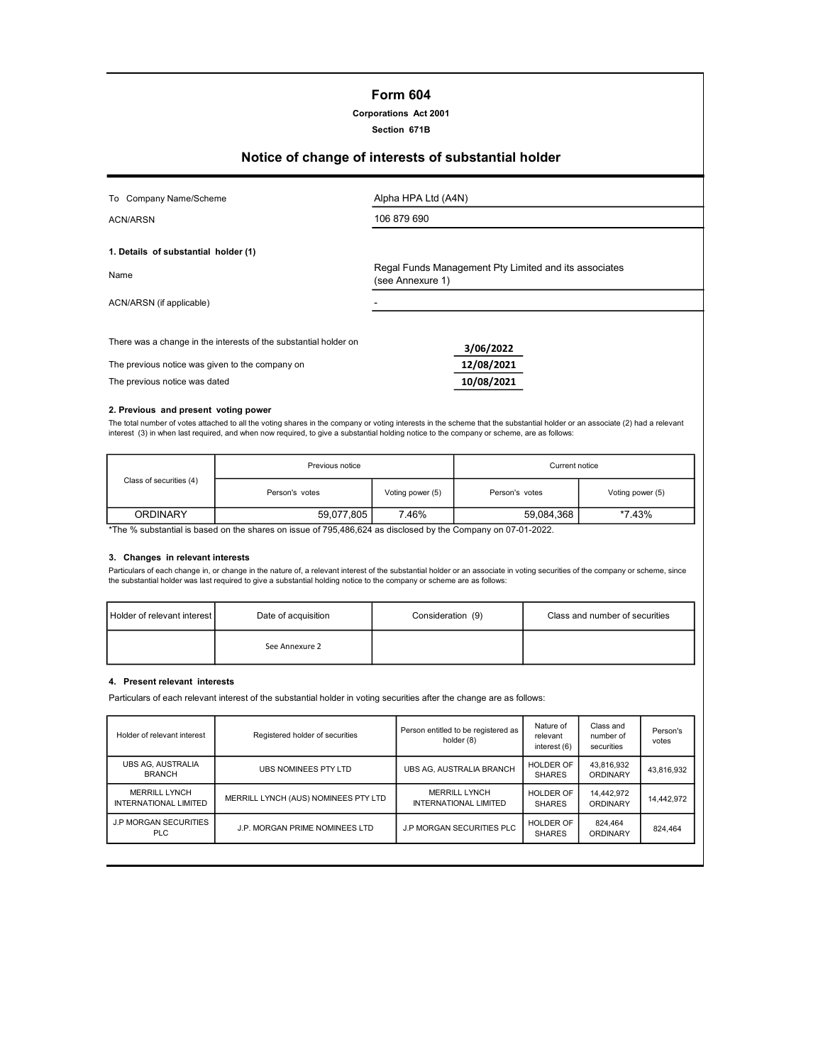# Form 604

## Corporations Act 2001

#### Section 671B

# Notice of change of interests of substantial holder

| To Company Name/Scheme                                           | Alpha HPA Ltd (A4N)                                                       |
|------------------------------------------------------------------|---------------------------------------------------------------------------|
| ACN/ARSN                                                         | 106 879 690                                                               |
| 1. Details of substantial holder (1)                             |                                                                           |
| Name                                                             | Regal Funds Management Pty Limited and its associates<br>(see Annexure 1) |
| ACN/ARSN (if applicable)                                         |                                                                           |
| There was a change in the interests of the substantial holder on | 3/06/2022                                                                 |
| The previous notice was given to the company on                  | 12/08/2021                                                                |
| The previous notice was dated                                    | 10/08/2021                                                                |

#### 2. Previous and present voting power

The total number of votes attached to all the voting shares in the company or voting interests in the scheme that the substantial holder or an associate (2) had a relevant<br>interest (3) in when last required, and when now r

|                                                                                                              | Previous notice |                  |                      | Current notice   |  |  |
|--------------------------------------------------------------------------------------------------------------|-----------------|------------------|----------------------|------------------|--|--|
| Class of securities (4)                                                                                      | Person's votes  | Voting power (5) | Person's votes       | Voting power (5) |  |  |
| <b>ORDINARY</b>                                                                                              | 59.077.805      | 7.46%            | *7.43%<br>59.084.368 |                  |  |  |
| the Il quipotential is begad on the charge on journ of 705,406,604 as disclosed by the Company on 07,04,0000 |                 |                  |                      |                  |  |  |

The  $\%$  substantial is based on the shares on issue of  $795,\!486,\!624$  as disclosed by the Company on 07-01-2022.

#### 3. Changes in relevant interests

Particulars of each change in, or change in the nature of, a relevant interest of the substantial holder or an associate in voting securities of the company or scheme, since the substantial holder was last required to give a substantial holding notice to the company or scheme are as follows:

| Holder of relevant interest | Date of acquisition | Consideration (9) | Class and number of securities |
|-----------------------------|---------------------|-------------------|--------------------------------|
|                             | See Annexure 2      |                   |                                |

#### 4. Present relevant interests

Particulars of each relevant interest of the substantial holder in voting securities after the change are as follows:

| Holder of relevant interest                          | Registered holder of securities      | Person entitled to be registered as<br>holder (8) | Nature of<br>relevant<br>interest (6) | Class and<br>number of<br>securities | Person's<br>votes |
|------------------------------------------------------|--------------------------------------|---------------------------------------------------|---------------------------------------|--------------------------------------|-------------------|
| UBS AG. AUSTRALIA<br><b>BRANCH</b>                   | UBS NOMINEES PTY LTD                 | UBS AG. AUSTRALIA BRANCH                          | <b>HOLDER OF</b><br><b>SHARES</b>     | 43.816.932<br>ORDINARY               | 43,816,932        |
| <b>MERRILL LYNCH</b><br><b>INTERNATIONAL LIMITED</b> | MERRILL LYNCH (AUS) NOMINEES PTY LTD | <b>MERRILL LYNCH</b><br>INTERNATIONAL LIMITED     | HOLDER OF<br><b>SHARES</b>            | 14,442,972<br>ORDINARY               | 14.442.972        |
| <b>J.P MORGAN SECURITIES</b><br><b>PLC</b>           | J.P. MORGAN PRIME NOMINEES LTD       | J.P MORGAN SECURITIES PLC                         | HOLDER OF<br><b>SHARES</b>            | 824.464<br>ORDINARY                  | 824.464           |
|                                                      |                                      |                                                   |                                       |                                      |                   |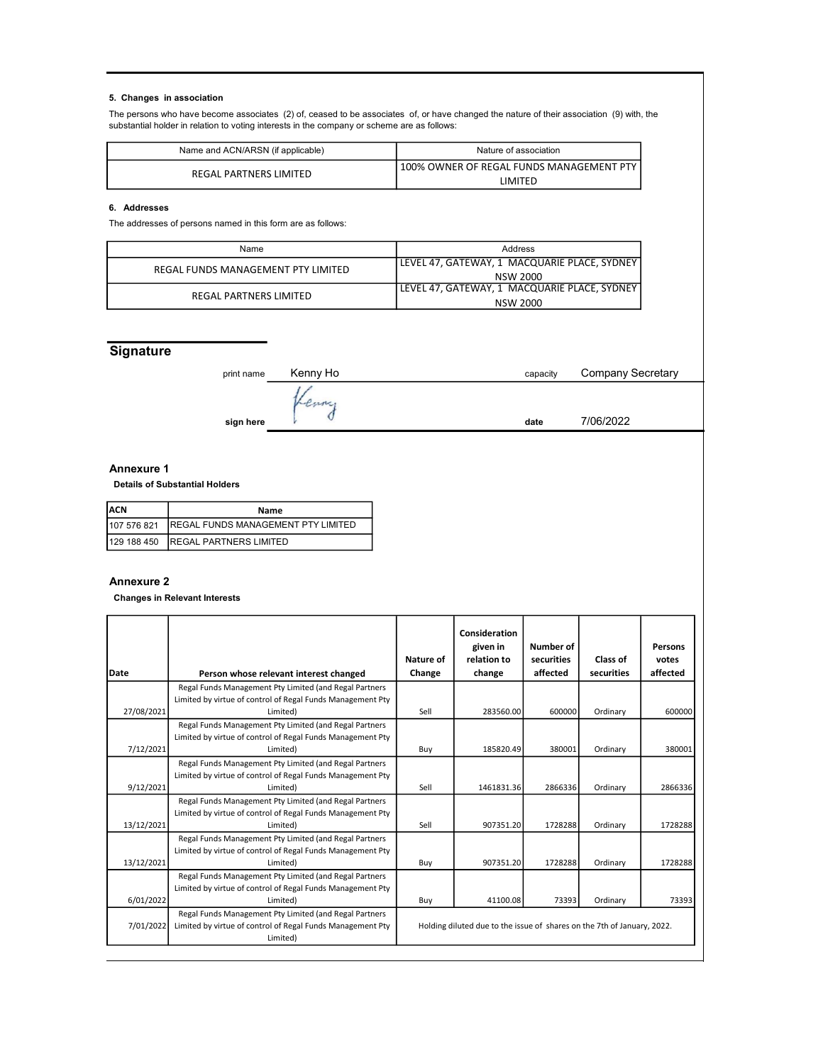## 5. Changes in association

The persons who have become associates (2) of, ceased to be associates of, or have changed the nature of their association (9) with, the substantial holder in relation to voting interests in the company or scheme are as follows:

| Name and ACN/ARSN (if applicable) | Nature of association                      |  |  |
|-----------------------------------|--------------------------------------------|--|--|
| REGAL PARTNERS LIMITED            | ! 100% OWNER OF REGAL FUNDS MANAGEMENT PTY |  |  |
|                                   | i IMITFD.                                  |  |  |

# 6. Addresses

The addresses of persons named in this form are as follows:

| Name                               | Address                                      |  |  |
|------------------------------------|----------------------------------------------|--|--|
| REGAL FUNDS MANAGEMENT PTY LIMITED | LEVEL 47, GATEWAY, 1 MACQUARIE PLACE, SYDNEY |  |  |
|                                    | NSW 2000                                     |  |  |
| REGAL PARTNERS LIMITED             | LEVEL 47, GATEWAY, 1 MACQUARIE PLACE, SYDNEY |  |  |
|                                    | NSW 2000                                     |  |  |

# **Signature**

| print name | Kenny Ho | capacity | <b>Company Secretary</b> |
|------------|----------|----------|--------------------------|
|            |          |          |                          |
| sign here  |          | date     | 7/06/2022                |

#### Annexure 1

Details of Substantial Holders

| IACN<br>Name |                                                |
|--------------|------------------------------------------------|
|              | 107 576 821 REGAL FUNDS MANAGEMENT PTY LIMITED |
|              | 129 188 450 REGAL PARTNERS LIMITED             |

## Annexure 2

Changes in Relevant Interests

| <b>IDate</b> | Person whose relevant interest changed                                                                                           | Nature of<br>Change                                                     | Consideration<br>given in<br>relation to<br>change | Number of<br>securities<br>affected | Class of<br>securities | Persons<br>votes<br>affected |
|--------------|----------------------------------------------------------------------------------------------------------------------------------|-------------------------------------------------------------------------|----------------------------------------------------|-------------------------------------|------------------------|------------------------------|
|              | Regal Funds Management Pty Limited (and Regal Partners                                                                           |                                                                         |                                                    |                                     |                        |                              |
| 27/08/2021   | Limited by virtue of control of Regal Funds Management Pty<br>Limited)                                                           | Sell                                                                    | 283560.00                                          | 600000                              | Ordinary               | 600000                       |
|              | Regal Funds Management Pty Limited (and Regal Partners<br>Limited by virtue of control of Regal Funds Management Pty             |                                                                         |                                                    |                                     |                        |                              |
| 7/12/2021    | Limited)<br>Regal Funds Management Pty Limited (and Regal Partners                                                               | Buy                                                                     | 185820.49                                          | 380001                              | Ordinary               | 380001                       |
|              | Limited by virtue of control of Regal Funds Management Pty                                                                       |                                                                         |                                                    |                                     |                        |                              |
| 9/12/2021    | Limited)                                                                                                                         | Sell                                                                    | 1461831.36                                         | 2866336                             | Ordinary               | 2866336                      |
|              | Regal Funds Management Pty Limited (and Regal Partners                                                                           |                                                                         |                                                    |                                     |                        |                              |
| 13/12/2021   | Limited by virtue of control of Regal Funds Management Pty<br>Limited)                                                           | Sell                                                                    | 907351.20                                          | 1728288                             | Ordinary               | 1728288                      |
| 13/12/2021   | Regal Funds Management Pty Limited (and Regal Partners<br>Limited by virtue of control of Regal Funds Management Pty<br>Limited) | Buy                                                                     | 907351.20                                          | 1728288                             | Ordinary               | 1728288                      |
|              | Regal Funds Management Pty Limited (and Regal Partners                                                                           |                                                                         |                                                    |                                     |                        |                              |
| 6/01/2022    | Limited by virtue of control of Regal Funds Management Pty<br>Limited)                                                           | Buy                                                                     | 41100.08                                           | 73393                               | Ordinary               | 73393                        |
| 7/01/2022    | Regal Funds Management Pty Limited (and Regal Partners<br>Limited by virtue of control of Regal Funds Management Pty<br>Limited) | Holding diluted due to the issue of shares on the 7th of January, 2022. |                                                    |                                     |                        |                              |